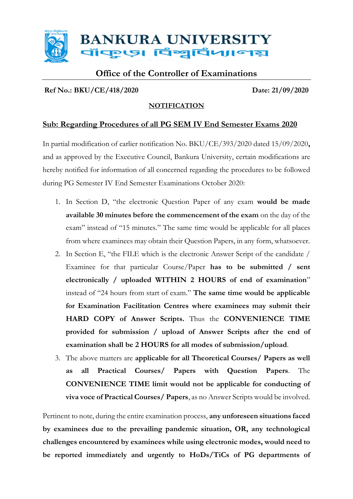

# **Office of the Controller of Examinations**

## **Ref No.: BKU/CE/418/2020 Date: 21/09/2020**

### **NOTIFICATION**

# **Sub: Regarding Procedures of all PG SEM IV End Semester Exams 2020**

In partial modification of earlier notification No. BKU/CE/393/2020 dated 15/09/2020**,**  and as approved by the Executive Council, Bankura University, certain modifications are hereby notified for information of all concerned regarding the procedures to be followed during PG Semester IV End Semester Examinations October 2020:

- 1. In Section D, "the electronic Question Paper of any exam **would be made available 30 minutes before the commencement of the exam** on the day of the exam" instead of "15 minutes." The same time would be applicable for all places from where examinees may obtain their Question Papers, in any form, whatsoever.
- 2. In Section E, "the FILE which is the electronic Answer Script of the candidate / Examinee for that particular Course/Paper **has to be submitted / sent electronically / uploaded WITHIN 2 HOURS of end of examination**" instead of "24 hours from start of exam." **The same time would be applicable for Examination Facilitation Centres where examinees may submit their HARD COPY of Answer Scripts.** Thus the **CONVENIENCE TIME provided for submission / upload of Answer Scripts after the end of examination shall be 2 HOURS for all modes of submission/upload**.
- 3. The above matters are **applicable for all Theoretical Courses/ Papers as well as all Practical Courses/ Papers with Question Papers**. The **CONVENIENCE TIME limit would not be applicable for conducting of viva voce of Practical Courses/ Papers**, as no Answer Scripts would be involved.

Pertinent to note, during the entire examination process, **any unforeseen situations faced by examinees due to the prevailing pandemic situation, OR, any technological challenges encountered by examinees while using electronic modes, would need to be reported immediately and urgently to HoDs/TiCs of PG departments of**